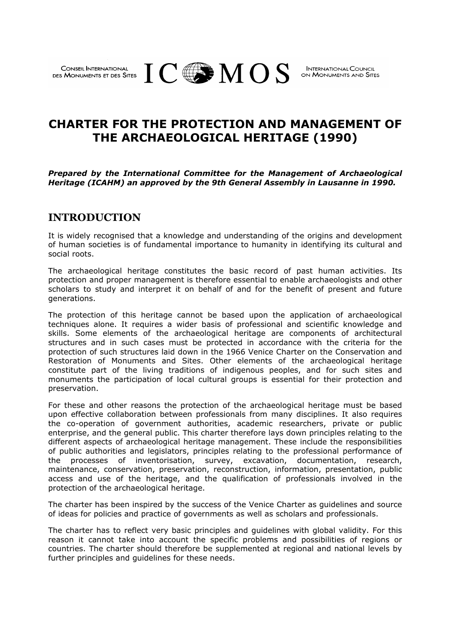

# **CHARTER FOR THE PROTECTION AND MANAGEMENT OF THE ARCHAEOLOGICAL HERITAGE (1990)**

*Prepared by the International Committee for the Management of Archaeological Heritage (ICAHM) an approved by the 9th General Assembly in Lausanne in 1990.* 

### **INTRODUCTION**

It is widely recognised that a knowledge and understanding of the origins and development of human societies is of fundamental importance to humanity in identifying its cultural and social roots.

The archaeological heritage constitutes the basic record of past human activities. Its protection and proper management is therefore essential to enable archaeologists and other scholars to study and interpret it on behalf of and for the benefit of present and future generations.

The protection of this heritage cannot be based upon the application of archaeological techniques alone. It requires a wider basis of professional and scientific knowledge and skills. Some elements of the archaeological heritage are components of architectural structures and in such cases must be protected in accordance with the criteria for the protection of such structures laid down in the 1966 Venice Charter on the Conservation and Restoration of Monuments and Sites. Other elements of the archaeological heritage constitute part of the living traditions of indigenous peoples, and for such sites and monuments the participation of local cultural groups is essential for their protection and preservation.

For these and other reasons the protection of the archaeological heritage must be based upon effective collaboration between professionals from many disciplines. It also requires the co-operation of government authorities, academic researchers, private or public enterprise, and the general public. This charter therefore lays down principles relating to the different aspects of archaeological heritage management. These include the responsibilities of public authorities and legislators, principles relating to the professional performance of the processes of inventorisation, survey, excavation, documentation, research, maintenance, conservation, preservation, reconstruction, information, presentation, public access and use of the heritage, and the qualification of professionals involved in the protection of the archaeological heritage.

The charter has been inspired by the success of the Venice Charter as guidelines and source of ideas for policies and practice of governments as well as scholars and professionals.

The charter has to reflect very basic principles and guidelines with global validity. For this reason it cannot take into account the specific problems and possibilities of regions or countries. The charter should therefore be supplemented at regional and national levels by further principles and guidelines for these needs.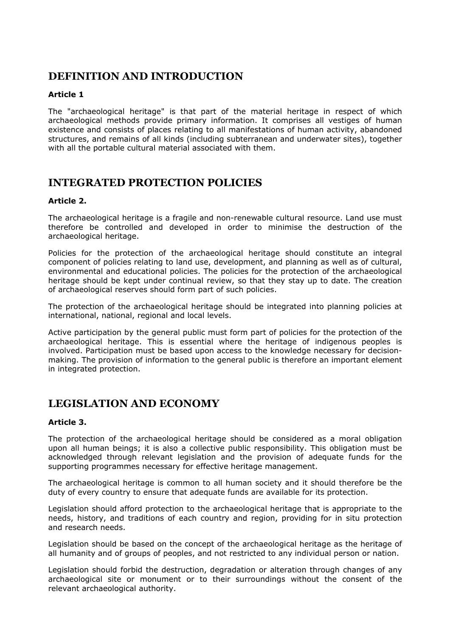# **DEFINITION AND INTRODUCTION**

#### **Article 1**

The "archaeological heritage" is that part of the material heritage in respect of which archaeological methods provide primary information. It comprises all vestiges of human existence and consists of places relating to all manifestations of human activity, abandoned structures, and remains of all kinds (including subterranean and underwater sites), together with all the portable cultural material associated with them.

# **INTEGRATED PROTECTION POLICIES**

#### **Article 2.**

The archaeological heritage is a fragile and non-renewable cultural resource. Land use must therefore be controlled and developed in order to minimise the destruction of the archaeological heritage.

Policies for the protection of the archaeological heritage should constitute an integral component of policies relating to land use, development, and planning as well as of cultural, environmental and educational policies. The policies for the protection of the archaeological heritage should be kept under continual review, so that they stay up to date. The creation of archaeological reserves should form part of such policies.

The protection of the archaeological heritage should be integrated into planning policies at international, national, regional and local levels.

Active participation by the general public must form part of policies for the protection of the archaeological heritage. This is essential where the heritage of indigenous peoples is involved. Participation must be based upon access to the knowledge necessary for decisionmaking. The provision of information to the general public is therefore an important element in integrated protection.

## **LEGISLATION AND ECONOMY**

#### **Article 3.**

The protection of the archaeological heritage should be considered as a moral obligation upon all human beings; it is also a collective public responsibility. This obligation must be acknowledged through relevant legislation and the provision of adequate funds for the supporting programmes necessary for effective heritage management.

The archaeological heritage is common to all human society and it should therefore be the duty of every country to ensure that adequate funds are available for its protection.

Legislation should afford protection to the archaeological heritage that is appropriate to the needs, history, and traditions of each country and region, providing for in situ protection and research needs.

Legislation should be based on the concept of the archaeological heritage as the heritage of all humanity and of groups of peoples, and not restricted to any individual person or nation.

Legislation should forbid the destruction, degradation or alteration through changes of any archaeological site or monument or to their surroundings without the consent of the relevant archaeological authority.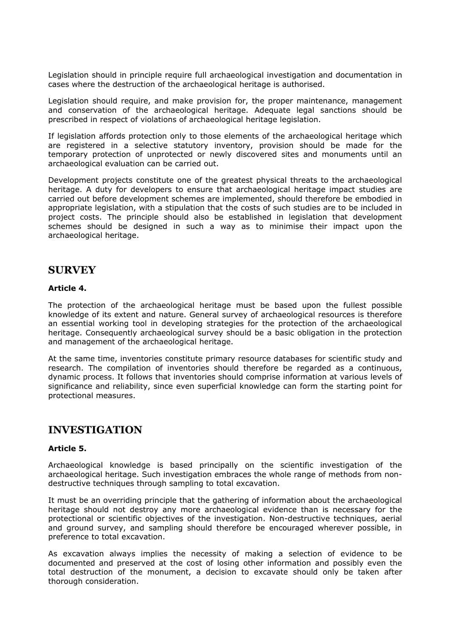Legislation should in principle require full archaeological investigation and documentation in cases where the destruction of the archaeological heritage is authorised.

Legislation should require, and make provision for, the proper maintenance, management and conservation of the archaeological heritage. Adequate legal sanctions should be prescribed in respect of violations of archaeological heritage legislation.

If legislation affords protection only to those elements of the archaeological heritage which are registered in a selective statutory inventory, provision should be made for the temporary protection of unprotected or newly discovered sites and monuments until an archaeological evaluation can be carried out.

Development projects constitute one of the greatest physical threats to the archaeological heritage. A duty for developers to ensure that archaeological heritage impact studies are carried out before development schemes are implemented, should therefore be embodied in appropriate legislation, with a stipulation that the costs of such studies are to be included in project costs. The principle should also be established in legislation that development schemes should be designed in such a way as to minimise their impact upon the archaeological heritage.

### **SURVEY**

#### **Article 4.**

The protection of the archaeological heritage must be based upon the fullest possible knowledge of its extent and nature. General survey of archaeological resources is therefore an essential working tool in developing strategies for the protection of the archaeological heritage. Consequently archaeological survey should be a basic obligation in the protection and management of the archaeological heritage.

At the same time, inventories constitute primary resource databases for scientific study and research. The compilation of inventories should therefore be regarded as a continuous, dynamic process. It follows that inventories should comprise information at various levels of significance and reliability, since even superficial knowledge can form the starting point for protectional measures.

### **INVESTIGATION**

#### **Article 5.**

Archaeological knowledge is based principally on the scientific investigation of the archaeological heritage. Such investigation embraces the whole range of methods from nondestructive techniques through sampling to total excavation.

It must be an overriding principle that the gathering of information about the archaeological heritage should not destroy any more archaeological evidence than is necessary for the protectional or scientific objectives of the investigation. Non-destructive techniques, aerial and ground survey, and sampling should therefore be encouraged wherever possible, in preference to total excavation.

As excavation always implies the necessity of making a selection of evidence to be documented and preserved at the cost of losing other information and possibly even the total destruction of the monument, a decision to excavate should only be taken after thorough consideration.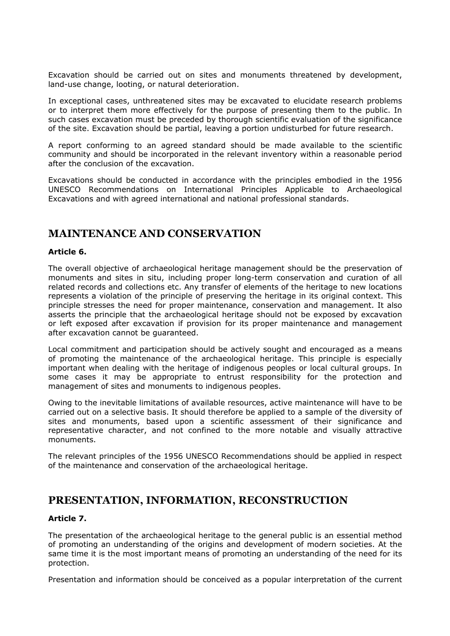Excavation should be carried out on sites and monuments threatened by development, land-use change, looting, or natural deterioration.

In exceptional cases, unthreatened sites may be excavated to elucidate research problems or to interpret them more effectively for the purpose of presenting them to the public. In such cases excavation must be preceded by thorough scientific evaluation of the significance of the site. Excavation should be partial, leaving a portion undisturbed for future research.

A report conforming to an agreed standard should be made available to the scientific community and should be incorporated in the relevant inventory within a reasonable period after the conclusion of the excavation.

Excavations should be conducted in accordance with the principles embodied in the 1956 UNESCO Recommendations on International Principles Applicable to Archaeological Excavations and with agreed international and national professional standards.

### **MAINTENANCE AND CONSERVATION**

#### **Article 6.**

The overall objective of archaeological heritage management should be the preservation of monuments and sites in situ, including proper long-term conservation and curation of all related records and collections etc. Any transfer of elements of the heritage to new locations represents a violation of the principle of preserving the heritage in its original context. This principle stresses the need for proper maintenance, conservation and management. It also asserts the principle that the archaeological heritage should not be exposed by excavation or left exposed after excavation if provision for its proper maintenance and management after excavation cannot be guaranteed.

Local commitment and participation should be actively sought and encouraged as a means of promoting the maintenance of the archaeological heritage. This principle is especially important when dealing with the heritage of indigenous peoples or local cultural groups. In some cases it may be appropriate to entrust responsibility for the protection and management of sites and monuments to indigenous peoples.

Owing to the inevitable limitations of available resources, active maintenance will have to be carried out on a selective basis. It should therefore be applied to a sample of the diversity of sites and monuments, based upon a scientific assessment of their significance and representative character, and not confined to the more notable and visually attractive monuments.

The relevant principles of the 1956 UNESCO Recommendations should be applied in respect of the maintenance and conservation of the archaeological heritage.

### **PRESENTATION, INFORMATION, RECONSTRUCTION**

#### **Article 7.**

The presentation of the archaeological heritage to the general public is an essential method of promoting an understanding of the origins and development of modern societies. At the same time it is the most important means of promoting an understanding of the need for its protection.

Presentation and information should be conceived as a popular interpretation of the current